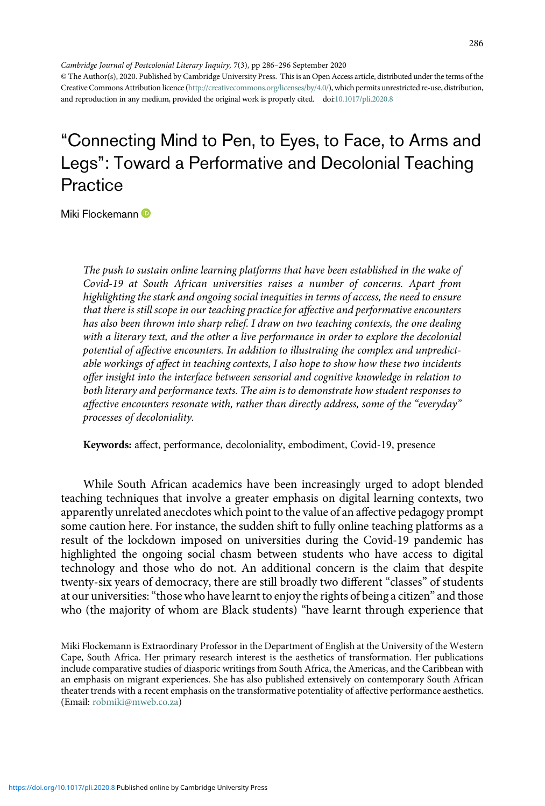Cambridge Journal of Postcolonial Literary Inquiry, 7(3), pp 286–296 September 2020

© The Author(s), 2020. Published by Cambridge University Press. This is an Open Access article, distributed under the terms of the Creative Commons Attribution licence [\(http://creativecommons.org/licenses/by/4.0/](http://creativecommons.org/licenses/by/4.0/)), which permits unrestricted re-use, distribution, and reproduction in any medium, provided the original work is properly cited. doi:[10.1017/pli.2020.8](https://doi.org/10.1017/pli.2020.8)

## "Connecting Mind to Pen, to Eyes, to Face, to Arms and Legs": Toward a Performative and Decolonial Teaching **Practice**

Miki Flockemann<sup>®</sup>

The push to sustain online learning platforms that have been established in the wake of Covid-19 at South African universities raises a number of concerns. Apart from highlighting the stark and ongoing social inequities in terms of access, the need to ensure that there is still scope in our teaching practice for affective and performative encounters has also been thrown into sharp relief. I draw on two teaching contexts, the one dealing with a literary text, and the other a live performance in order to explore the decolonial potential of affective encounters. In addition to illustrating the complex and unpredictable workings of affect in teaching contexts, I also hope to show how these two incidents offer insight into the interface between sensorial and cognitive knowledge in relation to both literary and performance texts. The aim is to demonstrate how student responses to affective encounters resonate with, rather than directly address, some of the "everyday" processes of decoloniality.

Keywords: affect, performance, decoloniality, embodiment, Covid-19, presence

While South African academics have been increasingly urged to adopt blended teaching techniques that involve a greater emphasis on digital learning contexts, two apparently unrelated anecdotes which point to the value of an affective pedagogy prompt some caution here. For instance, the sudden shift to fully online teaching platforms as a result of the lockdown imposed on universities during the Covid-19 pandemic has highlighted the ongoing social chasm between students who have access to digital technology and those who do not. An additional concern is the claim that despite twenty-six years of democracy, there are still broadly two different "classes" of students at our universities:"those who have learnt to enjoy the rights of being a citizen" and those who (the majority of whom are Black students) "have learnt through experience that

Miki Flockemann is Extraordinary Professor in the Department of English at the University of the Western Cape, South Africa. Her primary research interest is the aesthetics of transformation. Her publications include comparative studies of diasporic writings from South Africa, the Americas, and the Caribbean with an emphasis on migrant experiences. She has also published extensively on contemporary South African theater trends with a recent emphasis on the transformative potentiality of affective performance aesthetics. (Email: [robmiki@mweb.co.za](mailto:robmiki@mweb.co.za))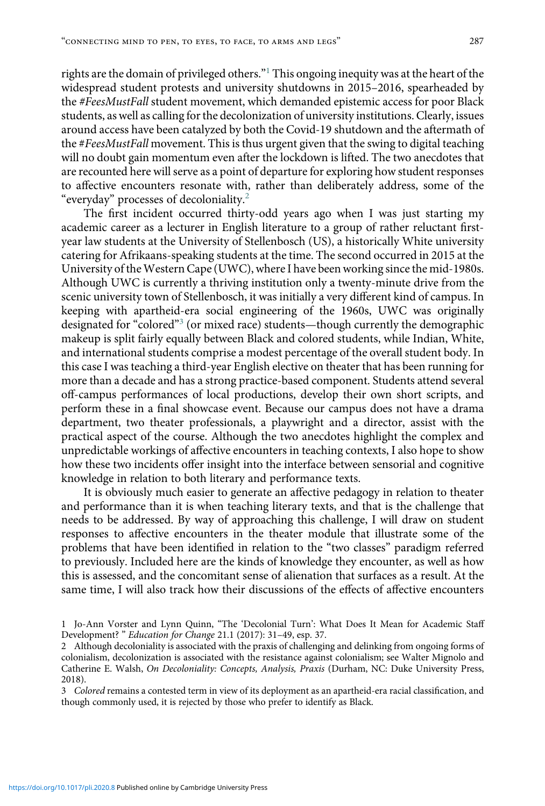rights are the domain of privileged others."<sup>1</sup> This ongoing inequity was at the heart of the widespread student protests and university shutdowns in 2015–2016, spearheaded by the #FeesMustFall student movement, which demanded epistemic access for poor Black students, as well as calling for the decolonization of university institutions. Clearly, issues around access have been catalyzed by both the Covid-19 shutdown and the aftermath of the #FeesMustFall movement. This is thus urgent given that the swing to digital teaching will no doubt gain momentum even after the lockdown is lifted. The two anecdotes that are recounted here will serve as a point of departure for exploring how student responses to affective encounters resonate with, rather than deliberately address, some of the "everyday" processes of decoloniality.<sup>2</sup>

The first incident occurred thirty-odd years ago when I was just starting my academic career as a lecturer in English literature to a group of rather reluctant firstyear law students at the University of Stellenbosch (US), a historically White university catering for Afrikaans-speaking students at the time. The second occurred in 2015 at the University of the Western Cape (UWC), where I have been working since the mid-1980s. Although UWC is currently a thriving institution only a twenty-minute drive from the scenic university town of Stellenbosch, it was initially a very different kind of campus. In keeping with apartheid-era social engineering of the 1960s, UWC was originally designated for "colored"<sup>3</sup> (or mixed race) students—though currently the demographic makeup is split fairly equally between Black and colored students, while Indian, White, and international students comprise a modest percentage of the overall student body. In this case I was teaching a third-year English elective on theater that has been running for more than a decade and has a strong practice-based component. Students attend several off-campus performances of local productions, develop their own short scripts, and perform these in a final showcase event. Because our campus does not have a drama department, two theater professionals, a playwright and a director, assist with the practical aspect of the course. Although the two anecdotes highlight the complex and unpredictable workings of affective encounters in teaching contexts, I also hope to show how these two incidents offer insight into the interface between sensorial and cognitive knowledge in relation to both literary and performance texts.

It is obviously much easier to generate an affective pedagogy in relation to theater and performance than it is when teaching literary texts, and that is the challenge that needs to be addressed. By way of approaching this challenge, I will draw on student responses to affective encounters in the theater module that illustrate some of the problems that have been identified in relation to the "two classes" paradigm referred to previously. Included here are the kinds of knowledge they encounter, as well as how this is assessed, and the concomitant sense of alienation that surfaces as a result. At the same time, I will also track how their discussions of the effects of affective encounters

3 Colored remains a contested term in view of its deployment as an apartheid-era racial classification, and though commonly used, it is rejected by those who prefer to identify as Black.

<sup>1</sup> Jo-Ann Vorster and Lynn Quinn, "The 'Decolonial Turn': What Does It Mean for Academic Staff Development? " Education for Change 21.1 (2017): 31–49, esp. 37.

<sup>2</sup> Although decoloniality is associated with the praxis of challenging and delinking from ongoing forms of colonialism, decolonization is associated with the resistance against colonialism; see Walter Mignolo and Catherine E. Walsh, On Decoloniality: Concepts, Analysis, Praxis (Durham, NC: Duke University Press, 2018).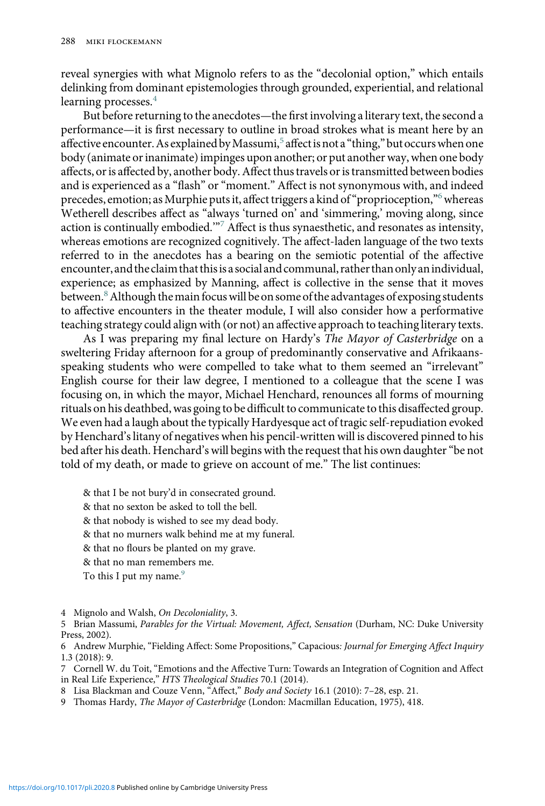reveal synergies with what Mignolo refers to as the "decolonial option," which entails delinking from dominant epistemologies through grounded, experiential, and relational learning processes.<sup>4</sup>

But before returning to the anecdotes—the first involving a literary text, the second a performance—it is first necessary to outline in broad strokes what is meant here by an affective encounter. As explained by Massumi,<sup>5</sup> affect is not a "thing," but occurs when one body (animate or inanimate) impinges upon another; or put another way, when one body affects, or is affected by, another body. Affect thus travels or is transmitted between bodies and is experienced as a "flash" or "moment." Affect is not synonymous with, and indeed precedes, emotion; as Murphie puts it, affect triggers a kind of "proprioception,"<sup>6</sup> whereas Wetherell describes affect as "always 'turned on' and 'simmering,' moving along, since action is continually embodied."<sup>7</sup> Affect is thus synaesthetic, and resonates as intensity, whereas emotions are recognized cognitively. The affect-laden language of the two texts referred to in the anecdotes has a bearing on the semiotic potential of the affective encounter, and the claim that thisis a social and communal, rather than only anindividual, experience; as emphasized by Manning, affect is collective in the sense that it moves between.<sup>8</sup> Although the main focus will be on some of the advantages of exposing students to affective encounters in the theater module, I will also consider how a performative teaching strategy could align with (or not) an affective approach to teaching literary texts.

As I was preparing my final lecture on Hardy's The Mayor of Casterbridge on a sweltering Friday afternoon for a group of predominantly conservative and Afrikaansspeaking students who were compelled to take what to them seemed an "irrelevant" English course for their law degree, I mentioned to a colleague that the scene I was focusing on, in which the mayor, Michael Henchard, renounces all forms of mourning rituals on his deathbed, was going to be difficult to communicate to this disaffected group. We even had a laugh about the typically Hardyesque act of tragic self-repudiation evoked by Henchard's litany of negatives when his pencil-written will is discovered pinned to his bed after his death. Henchard's will begins with the request that his own daughter"be not told of my death, or made to grieve on account of me." The list continues:

& that I be not bury'd in consecrated ground.

& that no sexton be asked to toll the bell.

& that nobody is wished to see my dead body.

& that no murners walk behind me at my funeral.

& that no flours be planted on my grave.

& that no man remembers me.

To this I put my name.<sup>9</sup>

4 Mignolo and Walsh, On Decoloniality, 3.

5 Brian Massumi, Parables for the Virtual: Movement, Affect, Sensation (Durham, NC: Duke University Press, 2002).

6 Andrew Murphie, "Fielding Affect: Some Propositions," Capacious: Journal for Emerging Affect Inquiry 1.3 (2018): 9.

7 Cornell W. du Toit, "Emotions and the Affective Turn: Towards an Integration of Cognition and Affect in Real Life Experience," HTS Theological Studies 70.1 (2014).

- 8 Lisa Blackman and Couze Venn, "Affect," Body and Society 16.1 (2010): 7–28, esp. 21.
- 9 Thomas Hardy, The Mayor of Casterbridge (London: Macmillan Education, 1975), 418.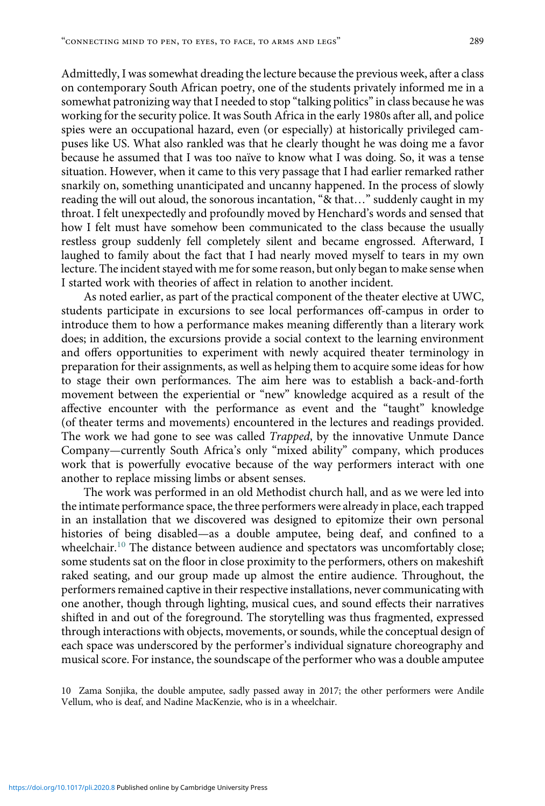Admittedly, I was somewhat dreading the lecture because the previous week, after a class on contemporary South African poetry, one of the students privately informed me in a somewhat patronizing way that I needed to stop "talking politics"in class because he was working for the security police. It was South Africa in the early 1980s after all, and police spies were an occupational hazard, even (or especially) at historically privileged campuses like US. What also rankled was that he clearly thought he was doing me a favor because he assumed that I was too naïve to know what I was doing. So, it was a tense situation. However, when it came to this very passage that I had earlier remarked rather snarkily on, something unanticipated and uncanny happened. In the process of slowly reading the will out aloud, the sonorous incantation, "& that…" suddenly caught in my throat. I felt unexpectedly and profoundly moved by Henchard's words and sensed that how I felt must have somehow been communicated to the class because the usually restless group suddenly fell completely silent and became engrossed. Afterward, I laughed to family about the fact that I had nearly moved myself to tears in my own lecture. The incident stayed with me for some reason, but only began to make sense when I started work with theories of affect in relation to another incident.

As noted earlier, as part of the practical component of the theater elective at UWC, students participate in excursions to see local performances off-campus in order to introduce them to how a performance makes meaning differently than a literary work does; in addition, the excursions provide a social context to the learning environment and offers opportunities to experiment with newly acquired theater terminology in preparation for their assignments, as well as helping them to acquire some ideas for how to stage their own performances. The aim here was to establish a back-and-forth movement between the experiential or "new" knowledge acquired as a result of the affective encounter with the performance as event and the "taught" knowledge (of theater terms and movements) encountered in the lectures and readings provided. The work we had gone to see was called Trapped, by the innovative Unmute Dance Company—currently South Africa's only "mixed ability" company, which produces work that is powerfully evocative because of the way performers interact with one another to replace missing limbs or absent senses.

The work was performed in an old Methodist church hall, and as we were led into the intimate performance space, the three performers were already in place, each trapped in an installation that we discovered was designed to epitomize their own personal histories of being disabled—as a double amputee, being deaf, and confined to a wheelchair.<sup>10</sup> The distance between audience and spectators was uncomfortably close; some students sat on the floor in close proximity to the performers, others on makeshift raked seating, and our group made up almost the entire audience. Throughout, the performers remained captive in their respective installations, never communicating with one another, though through lighting, musical cues, and sound effects their narratives shifted in and out of the foreground. The storytelling was thus fragmented, expressed through interactions with objects, movements, or sounds, while the conceptual design of each space was underscored by the performer's individual signature choreography and musical score. For instance, the soundscape of the performer who was a double amputee

10 Zama Sonjika, the double amputee, sadly passed away in 2017; the other performers were Andile Vellum, who is deaf, and Nadine MacKenzie, who is in a wheelchair.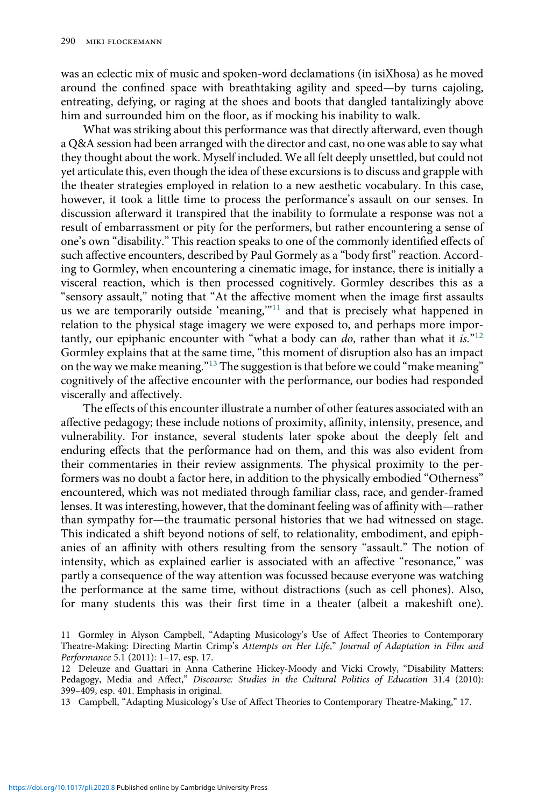was an eclectic mix of music and spoken-word declamations (in isiXhosa) as he moved around the confined space with breathtaking agility and speed—by turns cajoling, entreating, defying, or raging at the shoes and boots that dangled tantalizingly above him and surrounded him on the floor, as if mocking his inability to walk.

What was striking about this performance was that directly afterward, even though a Q&A session had been arranged with the director and cast, no one was able to say what they thought about the work. Myself included. We all felt deeply unsettled, but could not yet articulate this, even though the idea of these excursions is to discuss and grapple with the theater strategies employed in relation to a new aesthetic vocabulary. In this case, however, it took a little time to process the performance's assault on our senses. In discussion afterward it transpired that the inability to formulate a response was not a result of embarrassment or pity for the performers, but rather encountering a sense of one's own "disability." This reaction speaks to one of the commonly identified effects of such affective encounters, described by Paul Gormely as a "body first" reaction. According to Gormley, when encountering a cinematic image, for instance, there is initially a visceral reaction, which is then processed cognitively. Gormley describes this as a "sensory assault," noting that "At the affective moment when the image first assaults us we are temporarily outside 'meaning,"<sup>11</sup> and that is precisely what happened in relation to the physical stage imagery we were exposed to, and perhaps more importantly, our epiphanic encounter with "what a body can  $do$ , rather than what it is."<sup>12</sup> Gormley explains that at the same time, "this moment of disruption also has an impact on the way we make meaning."<sup>13</sup> The suggestion is that before we could "make meaning" cognitively of the affective encounter with the performance, our bodies had responded viscerally and affectively.

The effects of this encounter illustrate a number of other features associated with an affective pedagogy; these include notions of proximity, affinity, intensity, presence, and vulnerability. For instance, several students later spoke about the deeply felt and enduring effects that the performance had on them, and this was also evident from their commentaries in their review assignments. The physical proximity to the performers was no doubt a factor here, in addition to the physically embodied "Otherness" encountered, which was not mediated through familiar class, race, and gender-framed lenses. It was interesting, however, that the dominant feeling was of affinity with—rather than sympathy for—the traumatic personal histories that we had witnessed on stage. This indicated a shift beyond notions of self, to relationality, embodiment, and epiphanies of an affinity with others resulting from the sensory "assault." The notion of intensity, which as explained earlier is associated with an affective "resonance," was partly a consequence of the way attention was focussed because everyone was watching the performance at the same time, without distractions (such as cell phones). Also, for many students this was their first time in a theater (albeit a makeshift one).

<sup>11</sup> Gormley in Alyson Campbell, "Adapting Musicology's Use of Affect Theories to Contemporary Theatre-Making: Directing Martin Crimp's Attempts on Her Life," Journal of Adaptation in Film and Performance 5.1 (2011): 1–17, esp. 17.

<sup>12</sup> Deleuze and Guattari in Anna Catherine Hickey-Moody and Vicki Crowly, "Disability Matters: Pedagogy, Media and Affect," Discourse: Studies in the Cultural Politics of Education 31.4 (2010): 399–409, esp. 401. Emphasis in original.

<sup>13</sup> Campbell, "Adapting Musicology's Use of Affect Theories to Contemporary Theatre-Making," 17.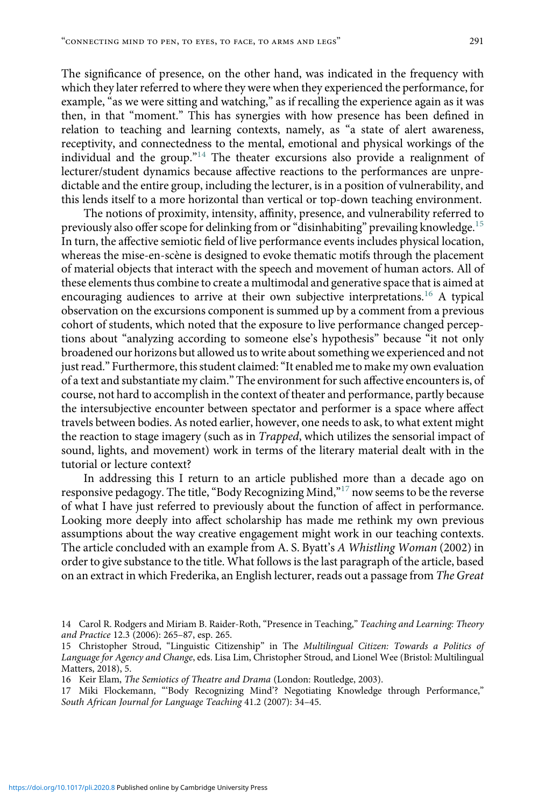The significance of presence, on the other hand, was indicated in the frequency with which they later referred to where they were when they experienced the performance, for example, "as we were sitting and watching," as if recalling the experience again as it was then, in that "moment." This has synergies with how presence has been defined in relation to teaching and learning contexts, namely, as "a state of alert awareness, receptivity, and connectedness to the mental, emotional and physical workings of the individual and the group."<sup>14</sup> The theater excursions also provide a realignment of lecturer/student dynamics because affective reactions to the performances are unpredictable and the entire group, including the lecturer, is in a position of vulnerability, and this lends itself to a more horizontal than vertical or top-down teaching environment.

The notions of proximity, intensity, affinity, presence, and vulnerability referred to previously also offer scope for delinking from or "disinhabiting" prevailing knowledge.<sup>15</sup> In turn, the affective semiotic field of live performance events includes physical location, whereas the mise-en-scène is designed to evoke thematic motifs through the placement of material objects that interact with the speech and movement of human actors. All of these elements thus combine to create a multimodal and generative space that is aimed at encouraging audiences to arrive at their own subjective interpretations.<sup>16</sup> A typical observation on the excursions component is summed up by a comment from a previous cohort of students, which noted that the exposure to live performance changed perceptions about "analyzing according to someone else's hypothesis" because "it not only broadened our horizons but allowed us to write about something we experienced and not just read." Furthermore, this student claimed:"It enabled me to make my own evaluation of a text and substantiate my claim." The environment for such affective encounters is, of course, not hard to accomplish in the context of theater and performance, partly because the intersubjective encounter between spectator and performer is a space where affect travels between bodies. As noted earlier, however, one needs to ask, to what extent might the reaction to stage imagery (such as in Trapped, which utilizes the sensorial impact of sound, lights, and movement) work in terms of the literary material dealt with in the tutorial or lecture context?

In addressing this I return to an article published more than a decade ago on responsive pedagogy. The title, "Body Recognizing Mind,"<sup>17</sup> now seems to be the reverse of what I have just referred to previously about the function of affect in performance. Looking more deeply into affect scholarship has made me rethink my own previous assumptions about the way creative engagement might work in our teaching contexts. The article concluded with an example from A. S. Byatt's A Whistling Woman (2002) in order to give substance to the title. What follows is the last paragraph of the article, based on an extract in which Frederika, an English lecturer, reads out a passage from The Great

<sup>14</sup> Carol R. Rodgers and Miriam B. Raider-Roth, "Presence in Teaching," Teaching and Learning: Theory and Practice 12.3 (2006): 265–87, esp. 265.

<sup>15</sup> Christopher Stroud, "Linguistic Citizenship" in The Multilingual Citizen: Towards a Politics of Language for Agency and Change, eds. Lisa Lim, Christopher Stroud, and Lionel Wee (Bristol: Multilingual Matters, 2018), 5.

<sup>16</sup> Keir Elam, The Semiotics of Theatre and Drama (London: Routledge, 2003).

<sup>17</sup> Miki Flockemann, "'Body Recognizing Mind'? Negotiating Knowledge through Performance," South African Journal for Language Teaching 41.2 (2007): 34–45.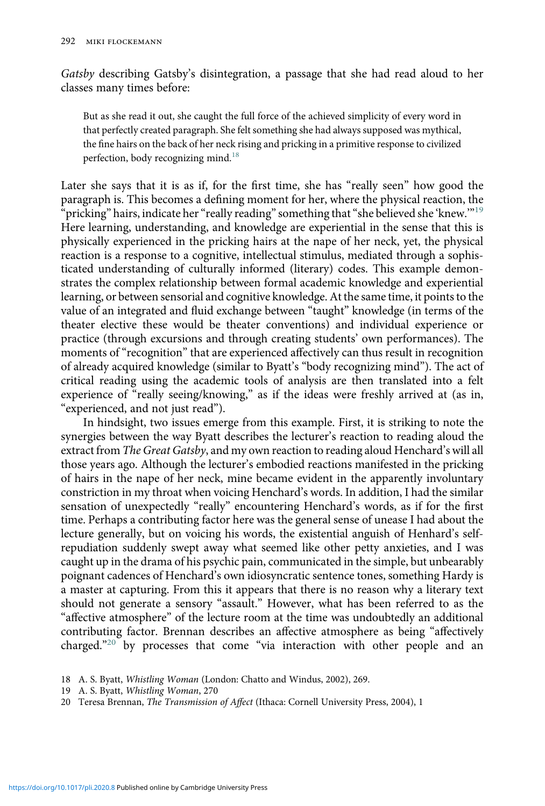Gatsby describing Gatsby's disintegration, a passage that she had read aloud to her classes many times before:

But as she read it out, she caught the full force of the achieved simplicity of every word in that perfectly created paragraph. She felt something she had always supposed was mythical, the fine hairs on the back of her neck rising and pricking in a primitive response to civilized perfection, body recognizing mind.<sup>18</sup>

Later she says that it is as if, for the first time, she has "really seen" how good the paragraph is. This becomes a defining moment for her, where the physical reaction, the "pricking" hairs, indicate her "really reading" something that "she believed she 'knew." $19$ Here learning, understanding, and knowledge are experiential in the sense that this is physically experienced in the pricking hairs at the nape of her neck, yet, the physical reaction is a response to a cognitive, intellectual stimulus, mediated through a sophisticated understanding of culturally informed (literary) codes. This example demonstrates the complex relationship between formal academic knowledge and experiential learning, or between sensorial and cognitive knowledge. At the same time, it points to the value of an integrated and fluid exchange between "taught" knowledge (in terms of the theater elective these would be theater conventions) and individual experience or practice (through excursions and through creating students' own performances). The moments of "recognition" that are experienced affectively can thus result in recognition of already acquired knowledge (similar to Byatt's "body recognizing mind"). The act of critical reading using the academic tools of analysis are then translated into a felt experience of "really seeing/knowing," as if the ideas were freshly arrived at (as in, "experienced, and not just read").

In hindsight, two issues emerge from this example. First, it is striking to note the synergies between the way Byatt describes the lecturer's reaction to reading aloud the extract from *The Great Gatsby*, and my own reaction to reading aloud Henchard's will all those years ago. Although the lecturer's embodied reactions manifested in the pricking of hairs in the nape of her neck, mine became evident in the apparently involuntary constriction in my throat when voicing Henchard's words. In addition, I had the similar sensation of unexpectedly "really" encountering Henchard's words, as if for the first time. Perhaps a contributing factor here was the general sense of unease I had about the lecture generally, but on voicing his words, the existential anguish of Henhard's selfrepudiation suddenly swept away what seemed like other petty anxieties, and I was caught up in the drama of his psychic pain, communicated in the simple, but unbearably poignant cadences of Henchard's own idiosyncratic sentence tones, something Hardy is a master at capturing. From this it appears that there is no reason why a literary text should not generate a sensory "assault." However, what has been referred to as the "affective atmosphere" of the lecture room at the time was undoubtedly an additional contributing factor. Brennan describes an affective atmosphere as being "affectively charged."<sup>20</sup> by processes that come "via interaction with other people and an

- 19 A. S. Byatt, Whistling Woman, 270
- 20 Teresa Brennan, The Transmission of Affect (Ithaca: Cornell University Press, 2004), 1

<sup>18</sup> A. S. Byatt, Whistling Woman (London: Chatto and Windus, 2002), 269.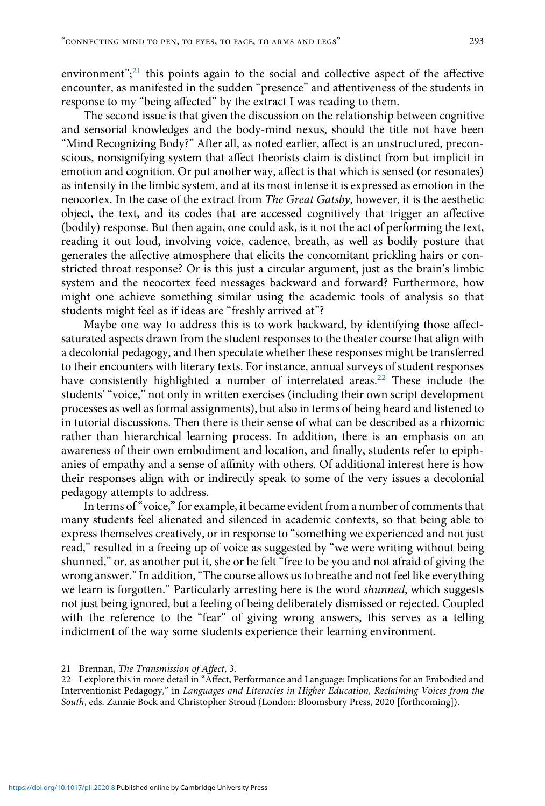environment";<sup>21</sup> this points again to the social and collective aspect of the affective encounter, as manifested in the sudden "presence" and attentiveness of the students in response to my "being affected" by the extract I was reading to them.

The second issue is that given the discussion on the relationship between cognitive and sensorial knowledges and the body-mind nexus, should the title not have been "Mind Recognizing Body?" After all, as noted earlier, affect is an unstructured, preconscious, nonsignifying system that affect theorists claim is distinct from but implicit in emotion and cognition. Or put another way, affect is that which is sensed (or resonates) as intensity in the limbic system, and at its most intense it is expressed as emotion in the neocortex. In the case of the extract from The Great Gatsby, however, it is the aesthetic object, the text, and its codes that are accessed cognitively that trigger an affective (bodily) response. But then again, one could ask, is it not the act of performing the text, reading it out loud, involving voice, cadence, breath, as well as bodily posture that generates the affective atmosphere that elicits the concomitant prickling hairs or constricted throat response? Or is this just a circular argument, just as the brain's limbic system and the neocortex feed messages backward and forward? Furthermore, how might one achieve something similar using the academic tools of analysis so that students might feel as if ideas are "freshly arrived at"?

Maybe one way to address this is to work backward, by identifying those affectsaturated aspects drawn from the student responses to the theater course that align with a decolonial pedagogy, and then speculate whether these responses might be transferred to their encounters with literary texts. For instance, annual surveys of student responses have consistently highlighted a number of interrelated areas.<sup>22</sup> These include the students' "voice," not only in written exercises (including their own script development processes as well as formal assignments), but also in terms of being heard and listened to in tutorial discussions. Then there is their sense of what can be described as a rhizomic rather than hierarchical learning process. In addition, there is an emphasis on an awareness of their own embodiment and location, and finally, students refer to epiphanies of empathy and a sense of affinity with others. Of additional interest here is how their responses align with or indirectly speak to some of the very issues a decolonial pedagogy attempts to address.

In terms of "voice," for example, it became evident from a number of comments that many students feel alienated and silenced in academic contexts, so that being able to express themselves creatively, or in response to "something we experienced and not just read," resulted in a freeing up of voice as suggested by "we were writing without being shunned," or, as another put it, she or he felt "free to be you and not afraid of giving the wrong answer."In addition,"The course allows us to breathe and not feel like everything we learn is forgotten." Particularly arresting here is the word shunned, which suggests not just being ignored, but a feeling of being deliberately dismissed or rejected. Coupled with the reference to the "fear" of giving wrong answers, this serves as a telling indictment of the way some students experience their learning environment.

<sup>21</sup> Brennan, The Transmission of Affect, 3.

<sup>22</sup> I explore this in more detail in "Affect, Performance and Language: Implications for an Embodied and Interventionist Pedagogy," in Languages and Literacies in Higher Education, Reclaiming Voices from the South, eds. Zannie Bock and Christopher Stroud (London: Bloomsbury Press, 2020 [forthcoming]).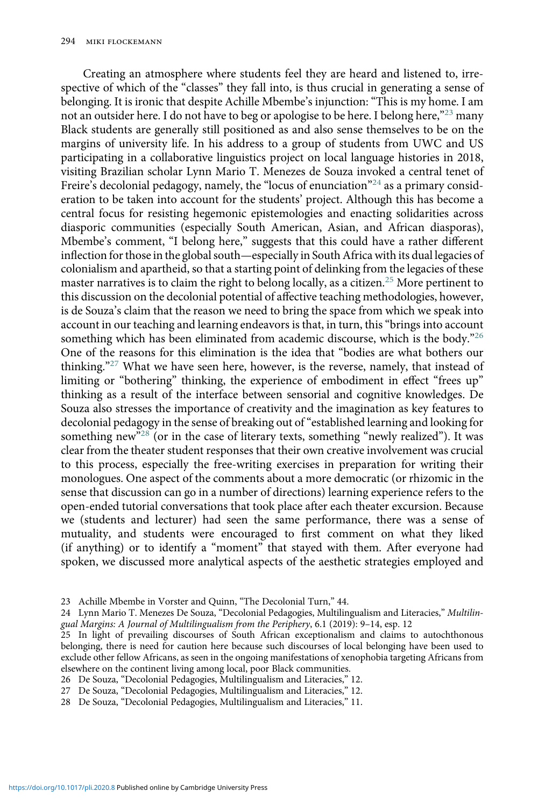Creating an atmosphere where students feel they are heard and listened to, irrespective of which of the "classes" they fall into, is thus crucial in generating a sense of belonging. It is ironic that despite Achille Mbembe's injunction: "This is my home. I am not an outsider here. I do not have to beg or apologise to be here. I belong here,<sup>"23</sup> many" Black students are generally still positioned as and also sense themselves to be on the margins of university life. In his address to a group of students from UWC and US participating in a collaborative linguistics project on local language histories in 2018, visiting Brazilian scholar Lynn Mario T. Menezes de Souza invoked a central tenet of Freire's decolonial pedagogy, namely, the "locus of enunciation"<sup>24</sup> as a primary consideration to be taken into account for the students' project. Although this has become a central focus for resisting hegemonic epistemologies and enacting solidarities across diasporic communities (especially South American, Asian, and African diasporas), Mbembe's comment, "I belong here," suggests that this could have a rather different inflection for those in the global south—especially in South Africa with its dual legacies of colonialism and apartheid, so that a starting point of delinking from the legacies of these master narratives is to claim the right to belong locally, as a citizen.<sup>25</sup> More pertinent to this discussion on the decolonial potential of affective teaching methodologies, however, is de Souza's claim that the reason we need to bring the space from which we speak into account in our teaching and learning endeavors is that, in turn, this"brings into account something which has been eliminated from academic discourse, which is the body."<sup>26</sup> One of the reasons for this elimination is the idea that "bodies are what bothers our thinking."<sup>27</sup> What we have seen here, however, is the reverse, namely, that instead of limiting or "bothering" thinking, the experience of embodiment in effect "frees up" thinking as a result of the interface between sensorial and cognitive knowledges. De Souza also stresses the importance of creativity and the imagination as key features to decolonial pedagogy in the sense of breaking out of"established learning and looking for something new"<sup>28</sup> (or in the case of literary texts, something "newly realized"). It was clear from the theater student responses that their own creative involvement was crucial to this process, especially the free-writing exercises in preparation for writing their monologues. One aspect of the comments about a more democratic (or rhizomic in the sense that discussion can go in a number of directions) learning experience refers to the open-ended tutorial conversations that took place after each theater excursion. Because we (students and lecturer) had seen the same performance, there was a sense of mutuality, and students were encouraged to first comment on what they liked (if anything) or to identify a "moment" that stayed with them. After everyone had spoken, we discussed more analytical aspects of the aesthetic strategies employed and

<sup>23</sup> Achille Mbembe in Vorster and Quinn, "The Decolonial Turn," 44.

<sup>24</sup> Lynn Mario T. Menezes De Souza, "Decolonial Pedagogies, Multilingualism and Literacies," Multilingual Margins: A Journal of Multilingualism from the Periphery, 6.1 (2019): 9–14, esp. 12

<sup>25</sup> In light of prevailing discourses of South African exceptionalism and claims to autochthonous belonging, there is need for caution here because such discourses of local belonging have been used to exclude other fellow Africans, as seen in the ongoing manifestations of xenophobia targeting Africans from elsewhere on the continent living among local, poor Black communities.

<sup>26</sup> De Souza, "Decolonial Pedagogies, Multilingualism and Literacies," 12.

<sup>27</sup> De Souza, "Decolonial Pedagogies, Multilingualism and Literacies," 12.

<sup>28</sup> De Souza, "Decolonial Pedagogies, Multilingualism and Literacies," 11.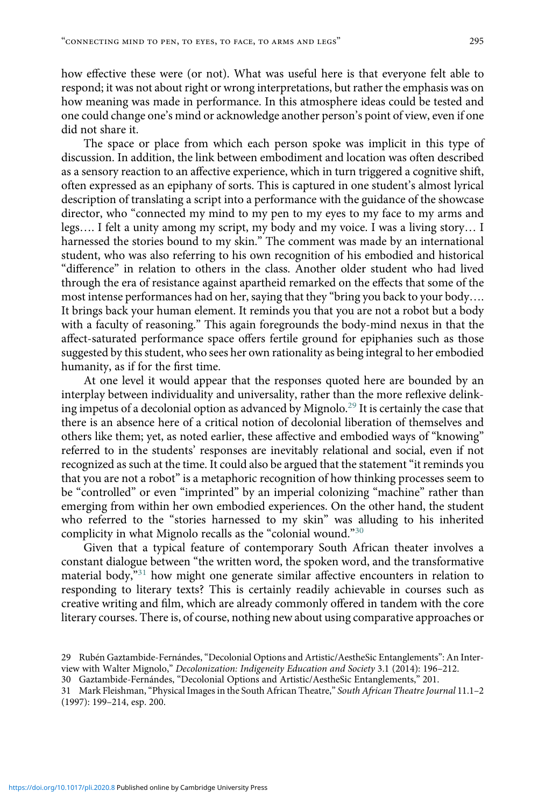how effective these were (or not). What was useful here is that everyone felt able to respond; it was not about right or wrong interpretations, but rather the emphasis was on how meaning was made in performance. In this atmosphere ideas could be tested and one could change one's mind or acknowledge another person's point of view, even if one did not share it.

The space or place from which each person spoke was implicit in this type of discussion. In addition, the link between embodiment and location was often described as a sensory reaction to an affective experience, which in turn triggered a cognitive shift, often expressed as an epiphany of sorts. This is captured in one student's almost lyrical description of translating a script into a performance with the guidance of the showcase director, who "connected my mind to my pen to my eyes to my face to my arms and legs…. I felt a unity among my script, my body and my voice. I was a living story… I harnessed the stories bound to my skin." The comment was made by an international student, who was also referring to his own recognition of his embodied and historical "difference" in relation to others in the class. Another older student who had lived through the era of resistance against apartheid remarked on the effects that some of the most intense performances had on her, saying that they "bring you back to your body…. It brings back your human element. It reminds you that you are not a robot but a body with a faculty of reasoning." This again foregrounds the body-mind nexus in that the affect-saturated performance space offers fertile ground for epiphanies such as those suggested by this student, who sees her own rationality as being integral to her embodied humanity, as if for the first time.

At one level it would appear that the responses quoted here are bounded by an interplay between individuality and universality, rather than the more reflexive delinking impetus of a decolonial option as advanced by Mignolo.29 It is certainly the case that there is an absence here of a critical notion of decolonial liberation of themselves and others like them; yet, as noted earlier, these affective and embodied ways of "knowing" referred to in the students' responses are inevitably relational and social, even if not recognized as such at the time. It could also be argued that the statement "it reminds you that you are not a robot" is a metaphoric recognition of how thinking processes seem to be "controlled" or even "imprinted" by an imperial colonizing "machine" rather than emerging from within her own embodied experiences. On the other hand, the student who referred to the "stories harnessed to my skin" was alluding to his inherited complicity in what Mignolo recalls as the "colonial wound."<sup>30</sup>

Given that a typical feature of contemporary South African theater involves a constant dialogue between "the written word, the spoken word, and the transformative material body, $^{31}$  how might one generate similar affective encounters in relation to responding to literary texts? This is certainly readily achievable in courses such as creative writing and film, which are already commonly offered in tandem with the core literary courses. There is, of course, nothing new about using comparative approaches or

<sup>29</sup> Rubén Gaztambide-Fernándes, "Decolonial Options and Artistic/AestheSic Entanglements": An Interview with Walter Mignolo," Decolonization: Indigeneity Education and Society 3.1 (2014): 196–212.

<sup>30</sup> Gaztambide-Fernándes, "Decolonial Options and Artistic/AestheSic Entanglements," 201.

<sup>31</sup> Mark Fleishman,"Physical Images in the South African Theatre," South African Theatre Journal 11.1–2 (1997): 199–214, esp. 200.